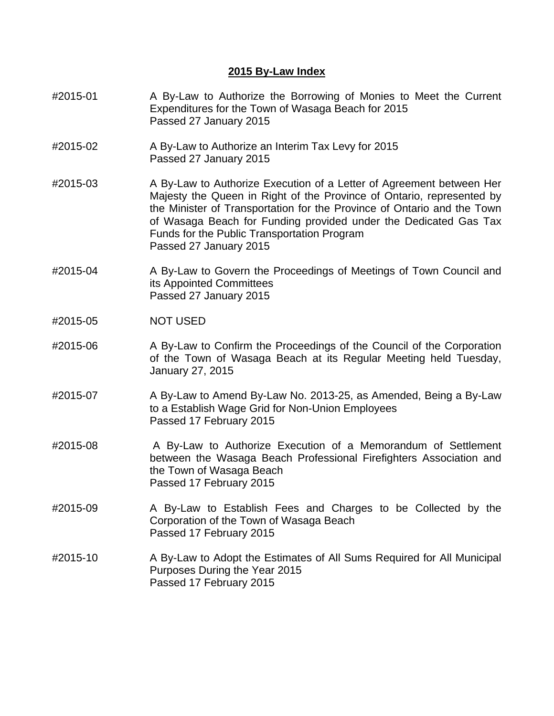## **2015 By-Law Index**

- #2015-01 A By-Law to Authorize the Borrowing of Monies to Meet the Current Expenditures for the Town of Wasaga Beach for 2015 Passed 27 January 2015
- #2015-02 A By-Law to Authorize an Interim Tax Levy for 2015 Passed 27 January 2015
- #2015-03 A By-Law to Authorize Execution of a Letter of Agreement between Her Majesty the Queen in Right of the Province of Ontario, represented by the Minister of Transportation for the Province of Ontario and the Town of Wasaga Beach for Funding provided under the Dedicated Gas Tax Funds for the Public Transportation Program Passed 27 January 2015
- #2015-04 A By-Law to Govern the Proceedings of Meetings of Town Council and its Appointed Committees Passed 27 January 2015
- #2015-05 NOT USED
- #2015-06 A By-Law to Confirm the Proceedings of the Council of the Corporation of the Town of Wasaga Beach at its Regular Meeting held Tuesday, January 27, 2015
- #2015-07 A By-Law to Amend By-Law No. 2013-25, as Amended, Being a By-Law to a Establish Wage Grid for Non-Union Employees Passed 17 February 2015
- #2015-08 A By-Law to Authorize Execution of a Memorandum of Settlement between the Wasaga Beach Professional Firefighters Association and the Town of Wasaga Beach Passed 17 February 2015
- #2015-09 A By-Law to Establish Fees and Charges to be Collected by the Corporation of the Town of Wasaga Beach Passed 17 February 2015
- #2015-10 A By-Law to Adopt the Estimates of All Sums Required for All Municipal Purposes During the Year 2015 Passed 17 February 2015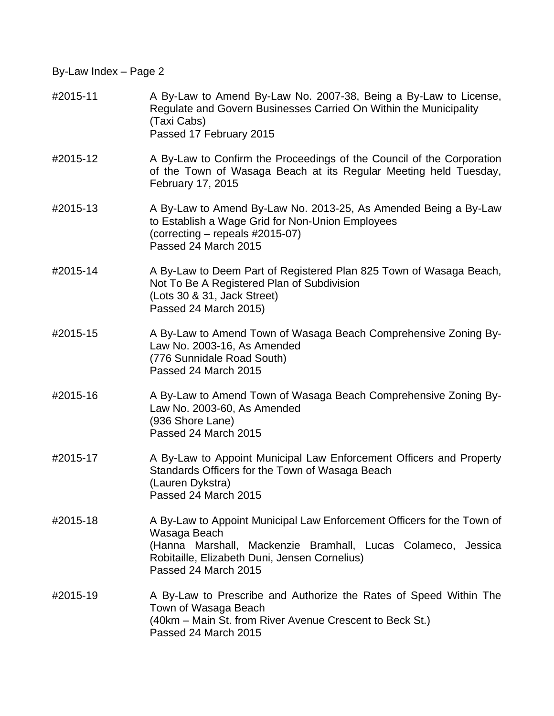| #2015-11 | A By-Law to Amend By-Law No. 2007-38, Being a By-Law to License,<br>Regulate and Govern Businesses Carried On Within the Municipality<br>(Taxi Cabs)<br>Passed 17 February 2015                                                 |
|----------|---------------------------------------------------------------------------------------------------------------------------------------------------------------------------------------------------------------------------------|
| #2015-12 | A By-Law to Confirm the Proceedings of the Council of the Corporation<br>of the Town of Wasaga Beach at its Regular Meeting held Tuesday,<br>February 17, 2015                                                                  |
| #2015-13 | A By-Law to Amend By-Law No. 2013-25, As Amended Being a By-Law<br>to Establish a Wage Grid for Non-Union Employees<br>(correcting – repeals #2015-07)<br>Passed 24 March 2015                                                  |
| #2015-14 | A By-Law to Deem Part of Registered Plan 825 Town of Wasaga Beach,<br>Not To Be A Registered Plan of Subdivision<br>(Lots 30 & 31, Jack Street)<br>Passed 24 March 2015)                                                        |
| #2015-15 | A By-Law to Amend Town of Wasaga Beach Comprehensive Zoning By-<br>Law No. 2003-16, As Amended<br>(776 Sunnidale Road South)<br>Passed 24 March 2015                                                                            |
| #2015-16 | A By-Law to Amend Town of Wasaga Beach Comprehensive Zoning By-<br>Law No. 2003-60, As Amended<br>(936 Shore Lane)<br>Passed 24 March 2015                                                                                      |
| #2015-17 | A By-Law to Appoint Municipal Law Enforcement Officers and Property<br>Standards Officers for the Town of Wasaga Beach<br>(Lauren Dykstra)<br>Passed 24 March 2015                                                              |
| #2015-18 | A By-Law to Appoint Municipal Law Enforcement Officers for the Town of<br>Wasaga Beach<br>(Hanna Marshall, Mackenzie Bramhall, Lucas Colameco, Jessica<br>Robitaille, Elizabeth Duni, Jensen Cornelius)<br>Passed 24 March 2015 |
| #2015-19 | A By-Law to Prescribe and Authorize the Rates of Speed Within The<br>Town of Wasaga Beach<br>(40km – Main St. from River Avenue Crescent to Beck St.)<br>Passed 24 March 2015                                                   |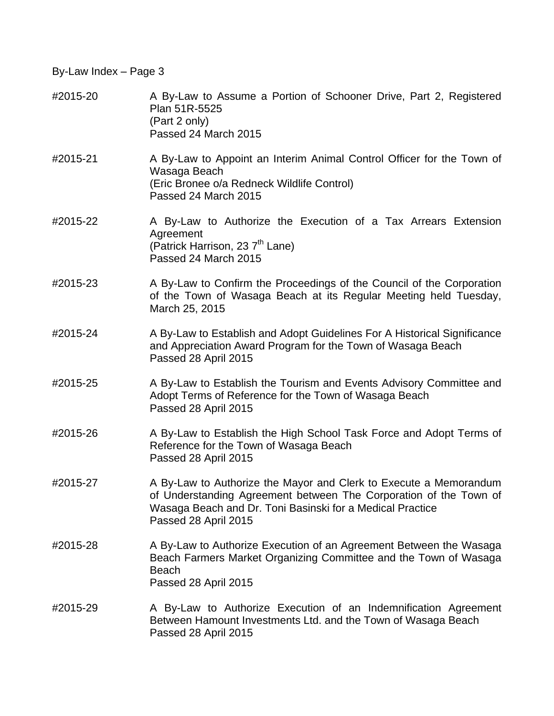| #2015-20 | A By-Law to Assume a Portion of Schooner Drive, Part 2, Registered<br>Plan 51R-5525<br>(Part 2 only)<br>Passed 24 March 2015                                                                                                |
|----------|-----------------------------------------------------------------------------------------------------------------------------------------------------------------------------------------------------------------------------|
| #2015-21 | A By-Law to Appoint an Interim Animal Control Officer for the Town of<br>Wasaga Beach<br>(Eric Bronee o/a Redneck Wildlife Control)<br>Passed 24 March 2015                                                                 |
| #2015-22 | A By-Law to Authorize the Execution of a Tax Arrears Extension<br>Agreement<br>(Patrick Harrison, 23 7 <sup>th</sup> Lane)<br>Passed 24 March 2015                                                                          |
| #2015-23 | A By-Law to Confirm the Proceedings of the Council of the Corporation<br>of the Town of Wasaga Beach at its Regular Meeting held Tuesday,<br>March 25, 2015                                                                 |
| #2015-24 | A By-Law to Establish and Adopt Guidelines For A Historical Significance<br>and Appreciation Award Program for the Town of Wasaga Beach<br>Passed 28 April 2015                                                             |
| #2015-25 | A By-Law to Establish the Tourism and Events Advisory Committee and<br>Adopt Terms of Reference for the Town of Wasaga Beach<br>Passed 28 April 2015                                                                        |
| #2015-26 | A By-Law to Establish the High School Task Force and Adopt Terms of<br>Reference for the Town of Wasaga Beach<br>Passed 28 April 2015                                                                                       |
| #2015-27 | A By-Law to Authorize the Mayor and Clerk to Execute a Memorandum<br>of Understanding Agreement between The Corporation of the Town of<br>Wasaga Beach and Dr. Toni Basinski for a Medical Practice<br>Passed 28 April 2015 |
| #2015-28 | A By-Law to Authorize Execution of an Agreement Between the Wasaga<br>Beach Farmers Market Organizing Committee and the Town of Wasaga<br><b>Beach</b><br>Passed 28 April 2015                                              |
| #2015-29 | A By-Law to Authorize Execution of an Indemnification Agreement<br>Between Hamount Investments Ltd. and the Town of Wasaga Beach<br>Passed 28 April 2015                                                                    |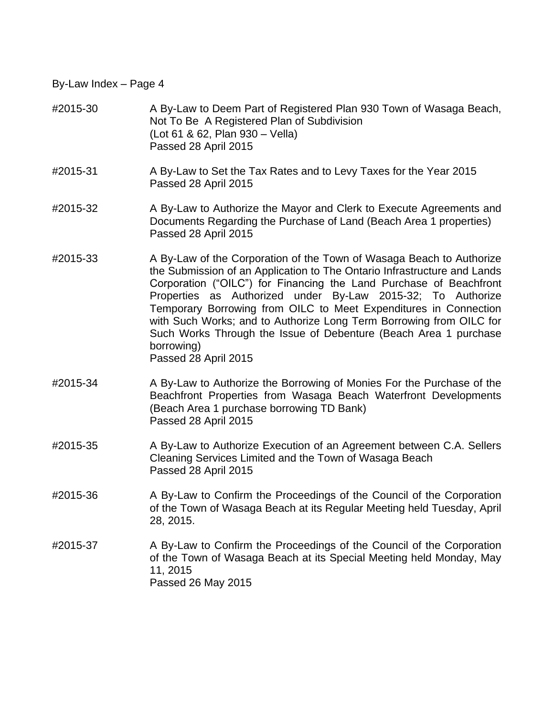- #2015-30 A By-Law to Deem Part of Registered Plan 930 Town of Wasaga Beach, Not To Be A Registered Plan of Subdivision (Lot 61 & 62, Plan 930 – Vella) Passed 28 April 2015
- #2015-31 A By-Law to Set the Tax Rates and to Levy Taxes for the Year 2015 Passed 28 April 2015
- #2015-32 A By-Law to Authorize the Mayor and Clerk to Execute Agreements and Documents Regarding the Purchase of Land (Beach Area 1 properties) Passed 28 April 2015
- #2015-33 A By-Law of the Corporation of the Town of Wasaga Beach to Authorize the Submission of an Application to The Ontario Infrastructure and Lands Corporation ("OILC") for Financing the Land Purchase of Beachfront Properties as Authorized under By-Law 2015-32; To Authorize Temporary Borrowing from OILC to Meet Expenditures in Connection with Such Works; and to Authorize Long Term Borrowing from OILC for Such Works Through the Issue of Debenture (Beach Area 1 purchase borrowing)

Passed 28 April 2015

- #2015-34 A By-Law to Authorize the Borrowing of Monies For the Purchase of the Beachfront Properties from Wasaga Beach Waterfront Developments (Beach Area 1 purchase borrowing TD Bank) Passed 28 April 2015
- #2015-35 A By-Law to Authorize Execution of an Agreement between C.A. Sellers Cleaning Services Limited and the Town of Wasaga Beach Passed 28 April 2015
- #2015-36 A By-Law to Confirm the Proceedings of the Council of the Corporation of the Town of Wasaga Beach at its Regular Meeting held Tuesday, April 28, 2015.
- #2015-37 A By-Law to Confirm the Proceedings of the Council of the Corporation of the Town of Wasaga Beach at its Special Meeting held Monday, May 11, 2015 Passed 26 May 2015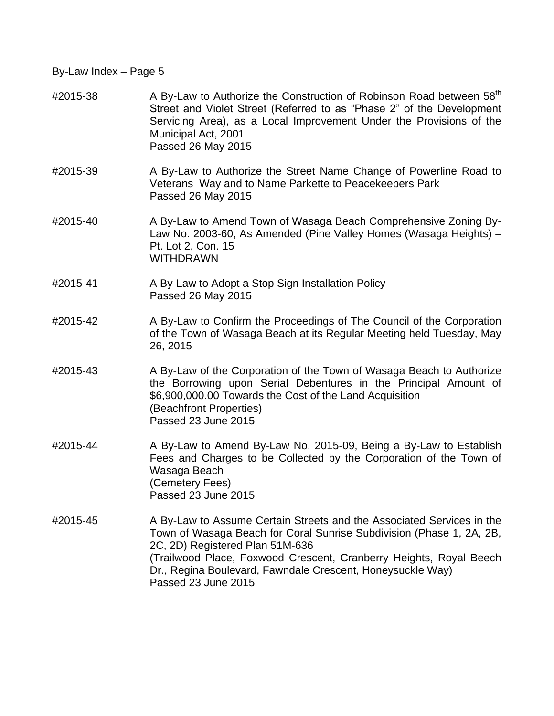## #2015-38 A By-Law to Authorize the Construction of Robinson Road between 58<sup>th</sup> Street and Violet Street (Referred to as "Phase 2" of the Development Servicing Area), as a Local Improvement Under the Provisions of the Municipal Act, 2001 Passed 26 May 2015

- #2015-39 A By-Law to Authorize the Street Name Change of Powerline Road to Veterans Way and to Name Parkette to Peacekeepers Park Passed 26 May 2015
- #2015-40 A By-Law to Amend Town of Wasaga Beach Comprehensive Zoning By-Law No. 2003-60, As Amended (Pine Valley Homes (Wasaga Heights) – Pt. Lot 2, Con. 15 WITHDRAWN
- #2015-41 A By-Law to Adopt a Stop Sign Installation Policy Passed 26 May 2015
- #2015-42 A By-Law to Confirm the Proceedings of The Council of the Corporation of the Town of Wasaga Beach at its Regular Meeting held Tuesday, May 26, 2015
- #2015-43 A By-Law of the Corporation of the Town of Wasaga Beach to Authorize the Borrowing upon Serial Debentures in the Principal Amount of \$6,900,000.00 Towards the Cost of the Land Acquisition (Beachfront Properties) Passed 23 June 2015
- #2015-44 A By-Law to Amend By-Law No. 2015-09, Being a By-Law to Establish Fees and Charges to be Collected by the Corporation of the Town of Wasaga Beach (Cemetery Fees) Passed 23 June 2015
- #2015-45 A By-Law to Assume Certain Streets and the Associated Services in the Town of Wasaga Beach for Coral Sunrise Subdivision (Phase 1, 2A, 2B, 2C, 2D) Registered Plan 51M-636 (Trailwood Place, Foxwood Crescent, Cranberry Heights, Royal Beech Dr., Regina Boulevard, Fawndale Crescent, Honeysuckle Way) Passed 23 June 2015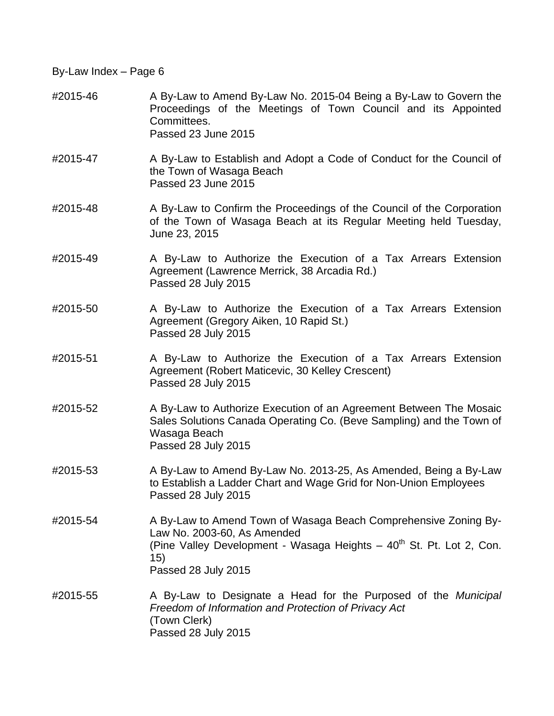#2015-46 A By-Law to Amend By-Law No. 2015-04 Being a By-Law to Govern the Proceedings of the Meetings of Town Council and its Appointed Committees. Passed 23 June 2015 #2015-47 A By-Law to Establish and Adopt a Code of Conduct for the Council of the Town of Wasaga Beach Passed 23 June 2015 #2015-48 A By-Law to Confirm the Proceedings of the Council of the Corporation of the Town of Wasaga Beach at its Regular Meeting held Tuesday, June 23, 2015 #2015-49 A By-Law to Authorize the Execution of a Tax Arrears Extension Agreement (Lawrence Merrick, 38 Arcadia Rd.) Passed 28 July 2015 #2015-50 A By-Law to Authorize the Execution of a Tax Arrears Extension Agreement (Gregory Aiken, 10 Rapid St.) Passed 28 July 2015 #2015-51 A By-Law to Authorize the Execution of a Tax Arrears Extension Agreement (Robert Maticevic, 30 Kelley Crescent) Passed 28 July 2015 #2015-52 A By-Law to Authorize Execution of an Agreement Between The Mosaic Sales Solutions Canada Operating Co. (Beve Sampling) and the Town of Wasaga Beach Passed 28 July 2015 #2015-53 A By-Law to Amend By-Law No. 2013-25, As Amended, Being a By-Law to Establish a Ladder Chart and Wage Grid for Non-Union Employees Passed 28 July 2015 #2015-54 A By-Law to Amend Town of Wasaga Beach Comprehensive Zoning By-Law No. 2003-60, As Amended (Pine Valley Development - Wasaga Heights  $-40<sup>th</sup>$  St. Pt. Lot 2, Con. 15) Passed 28 July 2015 #2015-55 A By-Law to Designate a Head for the Purposed of the *Municipal Freedom of Information and Protection of Privacy Act* (Town Clerk) Passed 28 July 2015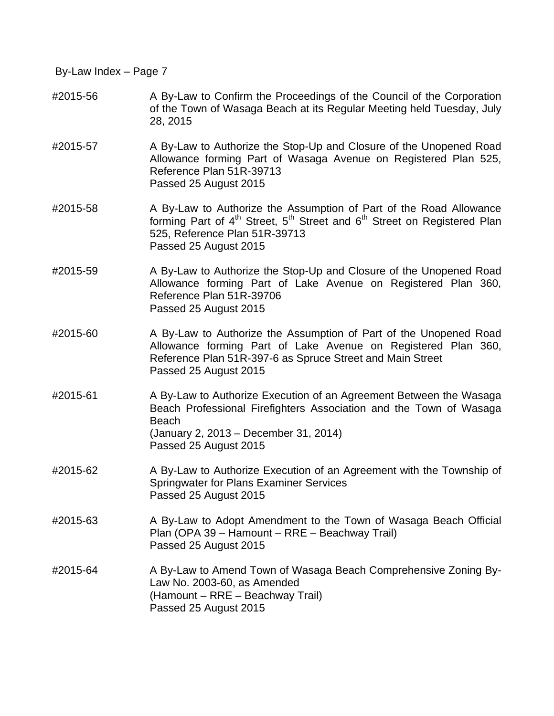- #2015-56 A By-Law to Confirm the Proceedings of the Council of the Corporation of the Town of Wasaga Beach at its Regular Meeting held Tuesday, July 28, 2015
- #2015-57 A By-Law to Authorize the Stop-Up and Closure of the Unopened Road Allowance forming Part of Wasaga Avenue on Registered Plan 525, Reference Plan 51R-39713 Passed 25 August 2015
- #2015-58 A By-Law to Authorize the Assumption of Part of the Road Allowance forming Part of 4<sup>th</sup> Street, 5<sup>th</sup> Street and 6<sup>th</sup> Street on Registered Plan 525, Reference Plan 51R-39713 Passed 25 August 2015
- #2015-59 A By-Law to Authorize the Stop-Up and Closure of the Unopened Road Allowance forming Part of Lake Avenue on Registered Plan 360, Reference Plan 51R-39706 Passed 25 August 2015
- #2015-60 A By-Law to Authorize the Assumption of Part of the Unopened Road Allowance forming Part of Lake Avenue on Registered Plan 360, Reference Plan 51R-397-6 as Spruce Street and Main Street Passed 25 August 2015
- #2015-61 A By-Law to Authorize Execution of an Agreement Between the Wasaga Beach Professional Firefighters Association and the Town of Wasaga Beach (January 2, 2013 – December 31, 2014) Passed 25 August 2015
- #2015-62 A By-Law to Authorize Execution of an Agreement with the Township of Springwater for Plans Examiner Services Passed 25 August 2015
- #2015-63 A By-Law to Adopt Amendment to the Town of Wasaga Beach Official Plan (OPA 39 – Hamount – RRE – Beachway Trail) Passed 25 August 2015
- #2015-64 A By-Law to Amend Town of Wasaga Beach Comprehensive Zoning By-Law No. 2003-60, as Amended (Hamount – RRE – Beachway Trail) Passed 25 August 2015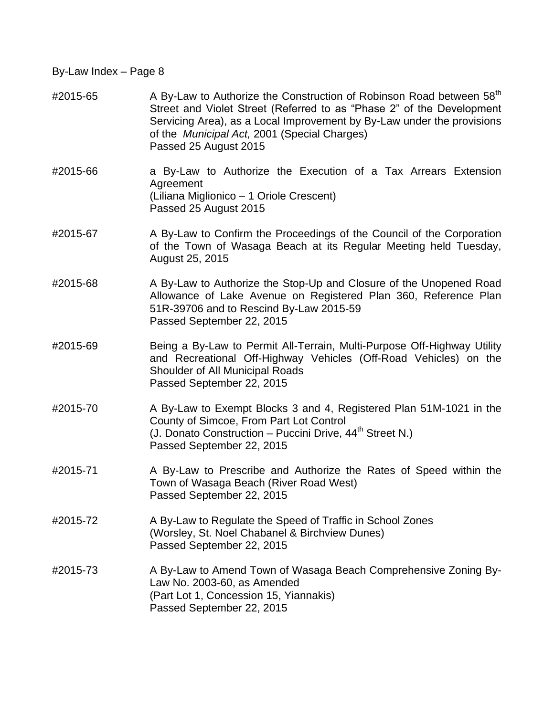$\text{\#2015-65}$  A By-Law to Authorize the Construction of Robinson Road between 58<sup>th</sup> Street and Violet Street (Referred to as "Phase 2" of the Development Servicing Area), as a Local Improvement by By-Law under the provisions of the *Municipal Act,* 2001 (Special Charges) Passed 25 August 2015 #2015-66 a By-Law to Authorize the Execution of a Tax Arrears Extension Agreement (Liliana Miglionico – 1 Oriole Crescent) Passed 25 August 2015 #2015-67 A By-Law to Confirm the Proceedings of the Council of the Corporation of the Town of Wasaga Beach at its Regular Meeting held Tuesday, August 25, 2015 #2015-68 A By-Law to Authorize the Stop-Up and Closure of the Unopened Road Allowance of Lake Avenue on Registered Plan 360, Reference Plan 51R-39706 and to Rescind By-Law 2015-59 Passed September 22, 2015 #2015-69 Being a By-Law to Permit All-Terrain, Multi-Purpose Off-Highway Utility and Recreational Off-Highway Vehicles (Off-Road Vehicles) on the Shoulder of All Municipal Roads Passed September 22, 2015 #2015-70 A By-Law to Exempt Blocks 3 and 4, Registered Plan 51M-1021 in the County of Simcoe, From Part Lot Control (J. Donato Construction – Puccini Drive,  $44<sup>th</sup>$  Street N.) Passed September 22, 2015 #2015-71 A By-Law to Prescribe and Authorize the Rates of Speed within the Town of Wasaga Beach (River Road West) Passed September 22, 2015 #2015-72 A By-Law to Regulate the Speed of Traffic in School Zones (Worsley, St. Noel Chabanel & Birchview Dunes) Passed September 22, 2015 #2015-73 A By-Law to Amend Town of Wasaga Beach Comprehensive Zoning By-Law No. 2003-60, as Amended (Part Lot 1, Concession 15, Yiannakis) Passed September 22, 2015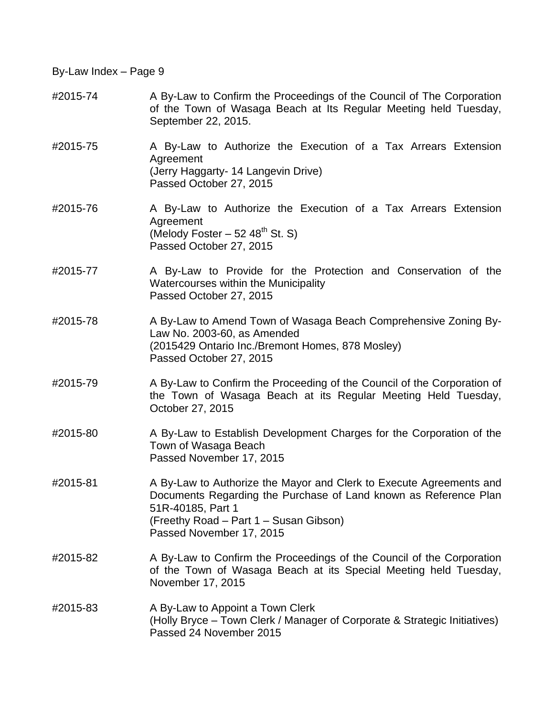- #2015-74 A By-Law to Confirm the Proceedings of the Council of The Corporation of the Town of Wasaga Beach at Its Regular Meeting held Tuesday, September 22, 2015.
- #2015-75 A By-Law to Authorize the Execution of a Tax Arrears Extension Agreement (Jerry Haggarty- 14 Langevin Drive) Passed October 27, 2015
- #2015-76 A By-Law to Authorize the Execution of a Tax Arrears Extension Agreement (Melody Foster  $-52,48^{\text{th}}$  St. S) Passed October 27, 2015
- #2015-77 A By-Law to Provide for the Protection and Conservation of the Watercourses within the Municipality Passed October 27, 2015
- #2015-78 A By-Law to Amend Town of Wasaga Beach Comprehensive Zoning By-Law No. 2003-60, as Amended (2015429 Ontario Inc./Bremont Homes, 878 Mosley) Passed October 27, 2015
- #2015-79 A By-Law to Confirm the Proceeding of the Council of the Corporation of the Town of Wasaga Beach at its Regular Meeting Held Tuesday, October 27, 2015
- #2015-80 A By-Law to Establish Development Charges for the Corporation of the Town of Wasaga Beach Passed November 17, 2015
- #2015-81 A By-Law to Authorize the Mayor and Clerk to Execute Agreements and Documents Regarding the Purchase of Land known as Reference Plan 51R-40185, Part 1 (Freethy Road – Part 1 – Susan Gibson) Passed November 17, 2015
- #2015-82 A By-Law to Confirm the Proceedings of the Council of the Corporation of the Town of Wasaga Beach at its Special Meeting held Tuesday, November 17, 2015
- #2015-83 A By-Law to Appoint a Town Clerk (Holly Bryce – Town Clerk / Manager of Corporate & Strategic Initiatives) Passed 24 November 2015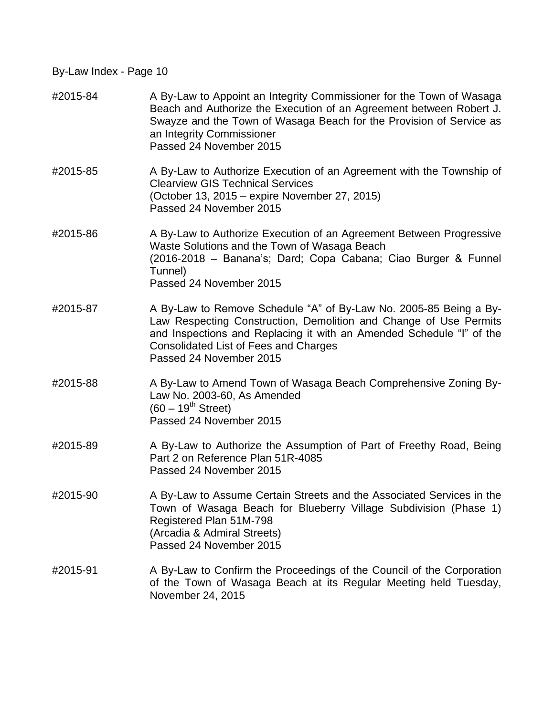| #2015-84 | A By-Law to Appoint an Integrity Commissioner for the Town of Wasaga<br>Beach and Authorize the Execution of an Agreement between Robert J.<br>Swayze and the Town of Wasaga Beach for the Provision of Service as<br>an Integrity Commissioner<br>Passed 24 November 2015                |
|----------|-------------------------------------------------------------------------------------------------------------------------------------------------------------------------------------------------------------------------------------------------------------------------------------------|
| #2015-85 | A By-Law to Authorize Execution of an Agreement with the Township of<br><b>Clearview GIS Technical Services</b><br>(October 13, 2015 – expire November 27, 2015)<br>Passed 24 November 2015                                                                                               |
| #2015-86 | A By-Law to Authorize Execution of an Agreement Between Progressive<br>Waste Solutions and the Town of Wasaga Beach<br>(2016-2018 - Banana's; Dard; Copa Cabana; Ciao Burger & Funnel<br>Tunnel)<br>Passed 24 November 2015                                                               |
| #2015-87 | A By-Law to Remove Schedule "A" of By-Law No. 2005-85 Being a By-<br>Law Respecting Construction, Demolition and Change of Use Permits<br>and Inspections and Replacing it with an Amended Schedule "I" of the<br><b>Consolidated List of Fees and Charges</b><br>Passed 24 November 2015 |
| #2015-88 | A By-Law to Amend Town of Wasaga Beach Comprehensive Zoning By-<br>Law No. 2003-60, As Amended<br>$(60 - 19^{th}$ Street)<br>Passed 24 November 2015                                                                                                                                      |
| #2015-89 | A By-Law to Authorize the Assumption of Part of Freethy Road, Being<br>Part 2 on Reference Plan 51R-4085<br>Passed 24 November 2015                                                                                                                                                       |
| #2015-90 | A By-Law to Assume Certain Streets and the Associated Services in the<br>Town of Wasaga Beach for Blueberry Village Subdivision (Phase 1)<br>Registered Plan 51M-798<br>(Arcadia & Admiral Streets)<br>Passed 24 November 2015                                                            |
| #2015-91 | A By-Law to Confirm the Proceedings of the Council of the Corporation<br>of the Town of Wasaga Beach at its Regular Meeting held Tuesday,<br>November 24, 2015                                                                                                                            |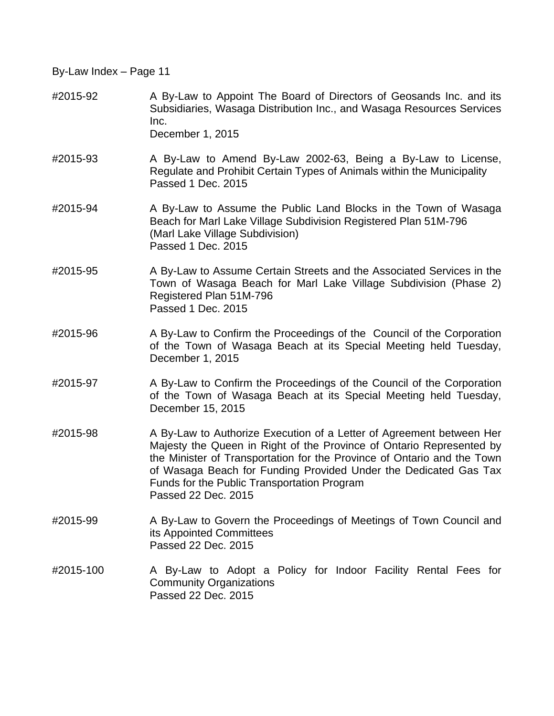- #2015-92 A By-Law to Appoint The Board of Directors of Geosands Inc. and its Subsidiaries, Wasaga Distribution Inc., and Wasaga Resources Services Inc. December 1, 2015
- #2015-93 A By-Law to Amend By-Law 2002-63, Being a By-Law to License, Regulate and Prohibit Certain Types of Animals within the Municipality Passed 1 Dec. 2015
- #2015-94 A By-Law to Assume the Public Land Blocks in the Town of Wasaga Beach for Marl Lake Village Subdivision Registered Plan 51M-796 (Marl Lake Village Subdivision) Passed 1 Dec. 2015
- #2015-95 A By-Law to Assume Certain Streets and the Associated Services in the Town of Wasaga Beach for Marl Lake Village Subdivision (Phase 2) Registered Plan 51M-796 Passed 1 Dec. 2015
- #2015-96 A By-Law to Confirm the Proceedings of the Council of the Corporation of the Town of Wasaga Beach at its Special Meeting held Tuesday, December 1, 2015
- #2015-97 A By-Law to Confirm the Proceedings of the Council of the Corporation of the Town of Wasaga Beach at its Special Meeting held Tuesday, December 15, 2015
- #2015-98 A By-Law to Authorize Execution of a Letter of Agreement between Her Majesty the Queen in Right of the Province of Ontario Represented by the Minister of Transportation for the Province of Ontario and the Town of Wasaga Beach for Funding Provided Under the Dedicated Gas Tax Funds for the Public Transportation Program Passed 22 Dec. 2015
- #2015-99 A By-Law to Govern the Proceedings of Meetings of Town Council and its Appointed Committees Passed 22 Dec. 2015
- #2015-100 A By-Law to Adopt a Policy for Indoor Facility Rental Fees for Community Organizations Passed 22 Dec. 2015